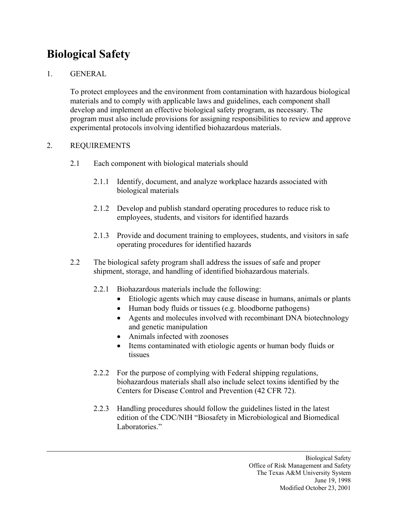## **Biological Safety**

## 1. GENERAL

To protect employees and the environment from contamination with hazardous biological materials and to comply with applicable laws and guidelines, each component shall develop and implement an effective biological safety program, as necessary. The program must also include provisions for assigning responsibilities to review and approve experimental protocols involving identified biohazardous materials.

## 2. REQUIREMENTS

- 2.1 Each component with biological materials should
	- 2.1.1 Identify, document, and analyze workplace hazards associated with biological materials
	- 2.1.2 Develop and publish standard operating procedures to reduce risk to employees, students, and visitors for identified hazards
	- 2.1.3 Provide and document training to employees, students, and visitors in safe operating procedures for identified hazards
- 2.2 The biological safety program shall address the issues of safe and proper shipment, storage, and handling of identified biohazardous materials.
	- 2.2.1 Biohazardous materials include the following:
		- Etiologic agents which may cause disease in humans, animals or plants
		- Human body fluids or tissues (e.g. bloodborne pathogens)
		- Agents and molecules involved with recombinant DNA biotechnology and genetic manipulation
		- Animals infected with zoonoses
		- Items contaminated with etiologic agents or human body fluids or tissues
	- 2.2.2 For the purpose of complying with Federal shipping regulations, biohazardous materials shall also include select toxins identified by the Centers for Disease Control and Prevention (42 CFR 72).
	- 2.2.3 Handling procedures should follow the guidelines listed in the latest edition of the CDC/NIH "Biosafety in Microbiological and Biomedical Laboratories."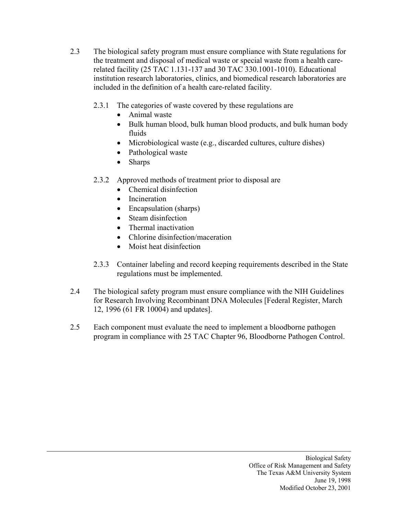- 2.3 The biological safety program must ensure compliance with State regulations for the treatment and disposal of medical waste or special waste from a health carerelated facility (25 TAC 1.131-137 and 30 TAC 330.1001-1010). Educational institution research laboratories, clinics, and biomedical research laboratories are included in the definition of a health care-related facility.
	- 2.3.1 The categories of waste covered by these regulations are
		- Animal waste
		- Bulk human blood, bulk human blood products, and bulk human body fluids
		- Microbiological waste (e.g., discarded cultures, culture dishes)
		- Pathological waste
		- Sharps
	- 2.3.2 Approved methods of treatment prior to disposal are
		- Chemical disinfection
		- Incineration
		- Encapsulation (sharps)
		- Steam disinfection
		- Thermal inactivation
		- Chlorine disinfection/maceration
		- Moist heat disinfection
	- 2.3.3 Container labeling and record keeping requirements described in the State regulations must be implemented.
- 2.4 The biological safety program must ensure compliance with the NIH Guidelines for Research Involving Recombinant DNA Molecules [Federal Register, March 12, 1996 (61 FR 10004) and updates].
- 2.5 Each component must evaluate the need to implement a bloodborne pathogen program in compliance with 25 TAC Chapter 96, Bloodborne Pathogen Control.